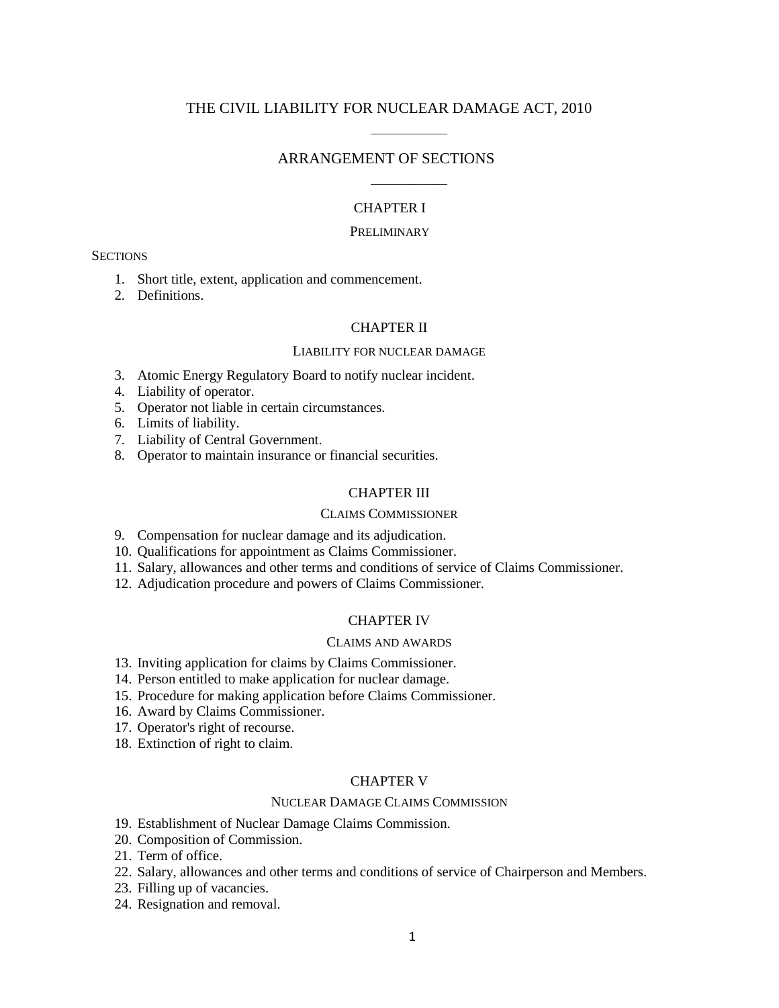# THE CIVIL LIABILITY FOR NUCLEAR DAMAGE ACT, 2010

 $\frac{1}{\sqrt{2}}$ 

––––––––––

# ARRANGEMENT OF SECTIONS

### CHAPTER I

### **PRELIMINARY**

### **SECTIONS**

- 1. Short title, extent, application and commencement.
- 2. Definitions.

### CHAPTER II

### LIABILITY FOR NUCLEAR DAMAGE

- 3. Atomic Energy Regulatory Board to notify nuclear incident.
- 4. Liability of operator.
- 5. Operator not liable in certain circumstances.
- 6. Limits of liability.
- 7. Liability of Central Government.
- 8. Operator to maintain insurance or financial securities.

# CHAPTER III

### CLAIMS COMMISSIONER

- 9. Compensation for nuclear damage and its adjudication.
- 10. Qualifications for appointment as Claims Commissioner.
- 11. Salary, allowances and other terms and conditions of service of Claims Commissioner.
- 12. Adjudication procedure and powers of Claims Commissioner.

# CHAPTER IV

### CLAIMS AND AWARDS

- 13. Inviting application for claims by Claims Commissioner.
- 14. Person entitled to make application for nuclear damage.
- 15. Procedure for making application before Claims Commissioner.
- 16. Award by Claims Commissioner.
- 17. Operator's right of recourse.
- 18. Extinction of right to claim.

# CHAPTER V

# NUCLEAR DAMAGE CLAIMS COMMISSION

- 19. Establishment of Nuclear Damage Claims Commission.
- 20. Composition of Commission.
- 21. Term of office.
- 22. Salary, allowances and other terms and conditions of service of Chairperson and Members.
- 23. Filling up of vacancies.
- 24. Resignation and removal.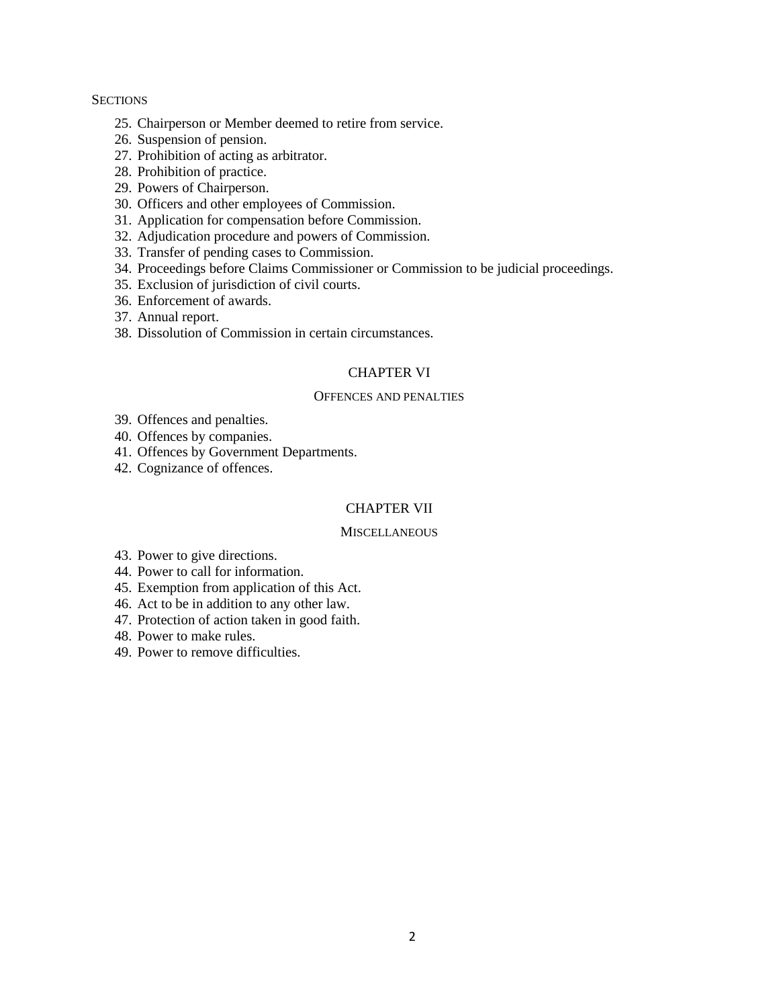# **SECTIONS**

- 25. Chairperson or Member deemed to retire from service.
- 26. Suspension of pension.
- 27. Prohibition of acting as arbitrator.
- 28. Prohibition of practice.
- 29. Powers of Chairperson.
- 30. Officers and other employees of Commission.
- 31. Application for compensation before Commission.
- 32. Adjudication procedure and powers of Commission.
- 33. Transfer of pending cases to Commission.
- 34. Proceedings before Claims Commissioner or Commission to be judicial proceedings.
- 35. Exclusion of jurisdiction of civil courts.
- 36. Enforcement of awards.
- 37. Annual report.
- 38. Dissolution of Commission in certain circumstances.

# CHAPTER VI

### OFFENCES AND PENALTIES

- 39. Offences and penalties.
- 40. Offences by companies.
- 41. Offences by Government Departments.
- 42. Cognizance of offences.

# CHAPTER VII

# **MISCELLANEOUS**

- 43. Power to give directions.
- 44. Power to call for information.
- 45. Exemption from application of this Act.
- 46. Act to be in addition to any other law.
- 47. Protection of action taken in good faith.
- 48. Power to make rules.
- 49. Power to remove difficulties.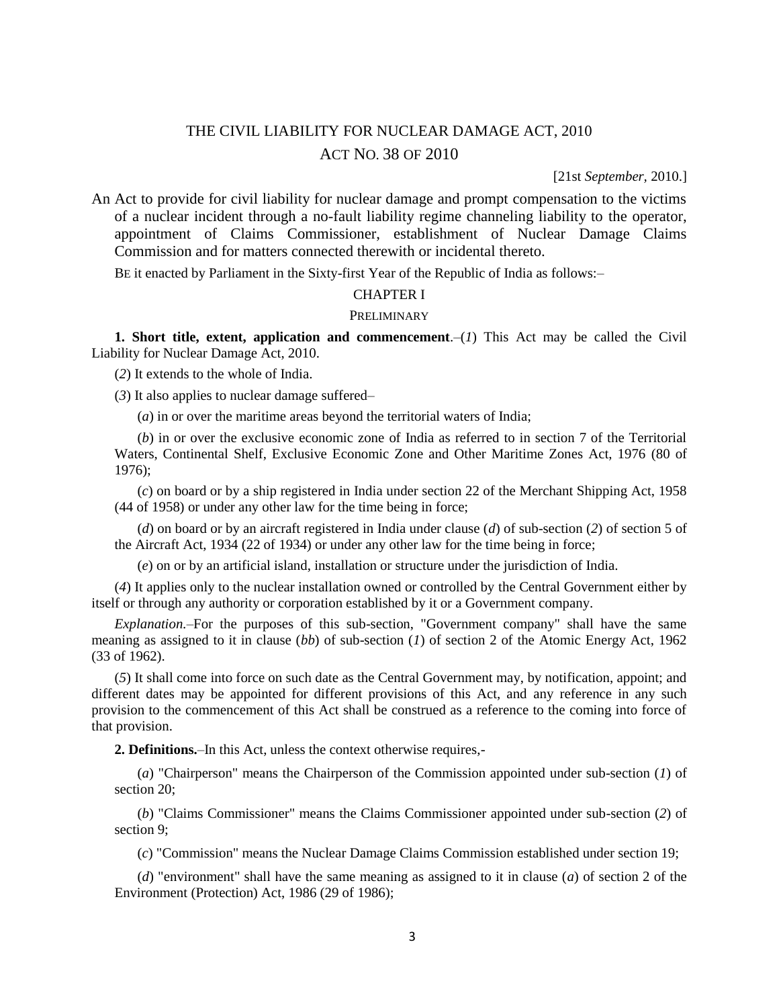# THE CIVIL LIABILITY FOR NUCLEAR DAMAGE ACT, 2010 ACT NO. 38 OF 2010

[21st *September,* 2010.]

An Act to provide for civil liability for nuclear damage and prompt compensation to the victims of a nuclear incident through a no-fault liability regime channeling liability to the operator, appointment of Claims Commissioner, establishment of Nuclear Damage Claims Commission and for matters connected therewith or incidental thereto.

BE it enacted by Parliament in the Sixty-first Year of the Republic of India as follows:–

# CHAPTER I

### PRELIMINARY

**1. Short title, extent, application and commencement**.–(*1*) This Act may be called the Civil Liability for Nuclear Damage Act, 2010.

(*2*) It extends to the whole of India.

(*3*) It also applies to nuclear damage suffered–

(*a*) in or over the maritime areas beyond the territorial waters of India;

(*b*) in or over the exclusive economic zone of India as referred to in section 7 of the Territorial Waters, Continental Shelf, Exclusive Economic Zone and Other Maritime Zones Act, 1976 (80 of 1976);

(*c*) on board or by a ship registered in India under section 22 of the Merchant Shipping Act, 1958 (44 of 1958) or under any other law for the time being in force;

(*d*) on board or by an aircraft registered in India under clause (*d*) of sub-section (*2*) of section 5 of the Aircraft Act, 1934 (22 of 1934) or under any other law for the time being in force;

(*e*) on or by an artificial island, installation or structure under the jurisdiction of India.

(*4*) It applies only to the nuclear installation owned or controlled by the Central Government either by itself or through any authority or corporation established by it or a Government company.

*Explanation.–*For the purposes of this sub-section, "Government company" shall have the same meaning as assigned to it in clause (*bb*) of sub-section (*1*) of section 2 of the Atomic Energy Act, 1962 (33 of 1962).

(*5*) It shall come into force on such date as the Central Government may, by notification, appoint; and different dates may be appointed for different provisions of this Act, and any reference in any such provision to the commencement of this Act shall be construed as a reference to the coming into force of that provision.

**2. Definitions.**–In this Act, unless the context otherwise requires,-

(*a*) "Chairperson" means the Chairperson of the Commission appointed under sub-section (*1*) of section 20;

(*b*) "Claims Commissioner" means the Claims Commissioner appointed under sub-section (*2*) of section 9;

(*c*) "Commission" means the Nuclear Damage Claims Commission established under section 19;

(*d*) "environment" shall have the same meaning as assigned to it in clause (*a*) of section 2 of the Environment (Protection) Act, 1986 (29 of 1986);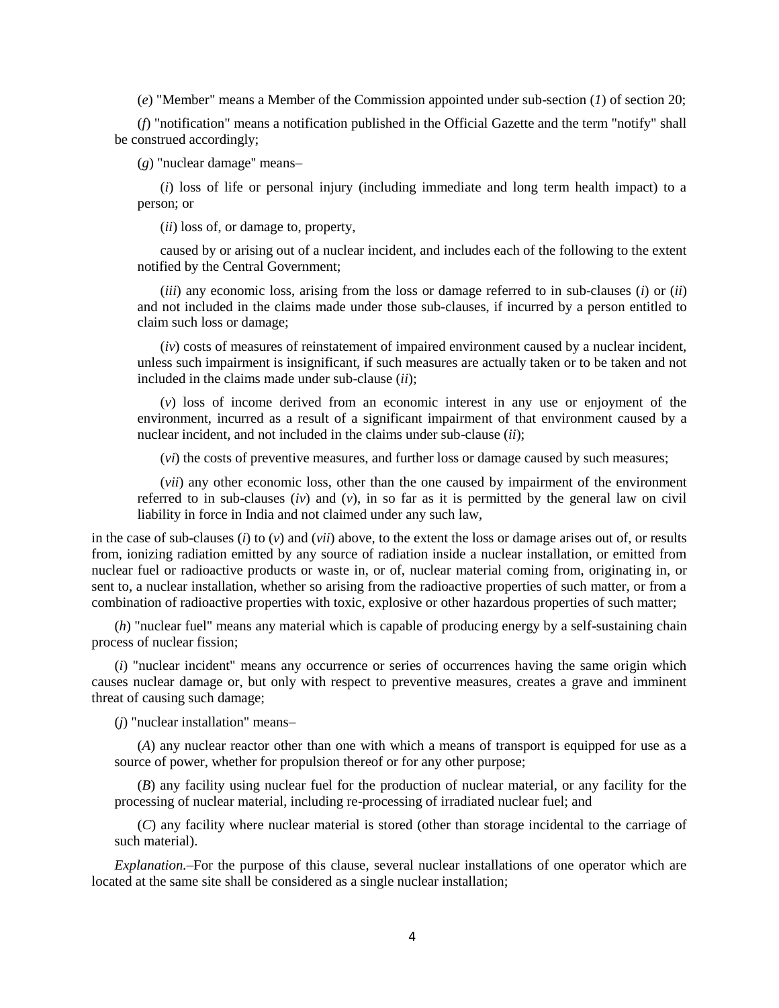(*e*) "Member" means a Member of the Commission appointed under sub-section (*1*) of section 20;

(*f*) "notification" means a notification published in the Official Gazette and the term "notify" shall be construed accordingly;

(*g*) "nuclear damage'' means–

(*i*) loss of life or personal injury (including immediate and long term health impact) to a person; or

(*ii*) loss of, or damage to, property,

caused by or arising out of a nuclear incident, and includes each of the following to the extent notified by the Central Government;

(*iii*) any economic loss, arising from the loss or damage referred to in sub-clauses (*i*) or (*ii*) and not included in the claims made under those sub-clauses, if incurred by a person entitled to claim such loss or damage;

(*iv*) costs of measures of reinstatement of impaired environment caused by a nuclear incident, unless such impairment is insignificant, if such measures are actually taken or to be taken and not included in the claims made under sub-clause (*ii*);

(*v*) loss of income derived from an economic interest in any use or enjoyment of the environment, incurred as a result of a significant impairment of that environment caused by a nuclear incident, and not included in the claims under sub-clause (*ii*);

(*vi*) the costs of preventive measures, and further loss or damage caused by such measures;

(*vii*) any other economic loss, other than the one caused by impairment of the environment referred to in sub-clauses  $(iv)$  and  $(v)$ , in so far as it is permitted by the general law on civil liability in force in India and not claimed under any such law,

in the case of sub-clauses (*i*) to (*v*) and (*vii*) above, to the extent the loss or damage arises out of, or results from, ionizing radiation emitted by any source of radiation inside a nuclear installation, or emitted from nuclear fuel or radioactive products or waste in, or of, nuclear material coming from, originating in, or sent to, a nuclear installation, whether so arising from the radioactive properties of such matter, or from a combination of radioactive properties with toxic, explosive or other hazardous properties of such matter;

(*h*) "nuclear fuel" means any material which is capable of producing energy by a self-sustaining chain process of nuclear fission;

(*i*) "nuclear incident" means any occurrence or series of occurrences having the same origin which causes nuclear damage or, but only with respect to preventive measures, creates a grave and imminent threat of causing such damage;

(*j*) "nuclear installation" means–

(*A*) any nuclear reactor other than one with which a means of transport is equipped for use as a source of power, whether for propulsion thereof or for any other purpose;

(*B*) any facility using nuclear fuel for the production of nuclear material, or any facility for the processing of nuclear material, including re-processing of irradiated nuclear fuel; and

(*C*) any facility where nuclear material is stored (other than storage incidental to the carriage of such material).

*Explanation.*–For the purpose of this clause, several nuclear installations of one operator which are located at the same site shall be considered as a single nuclear installation;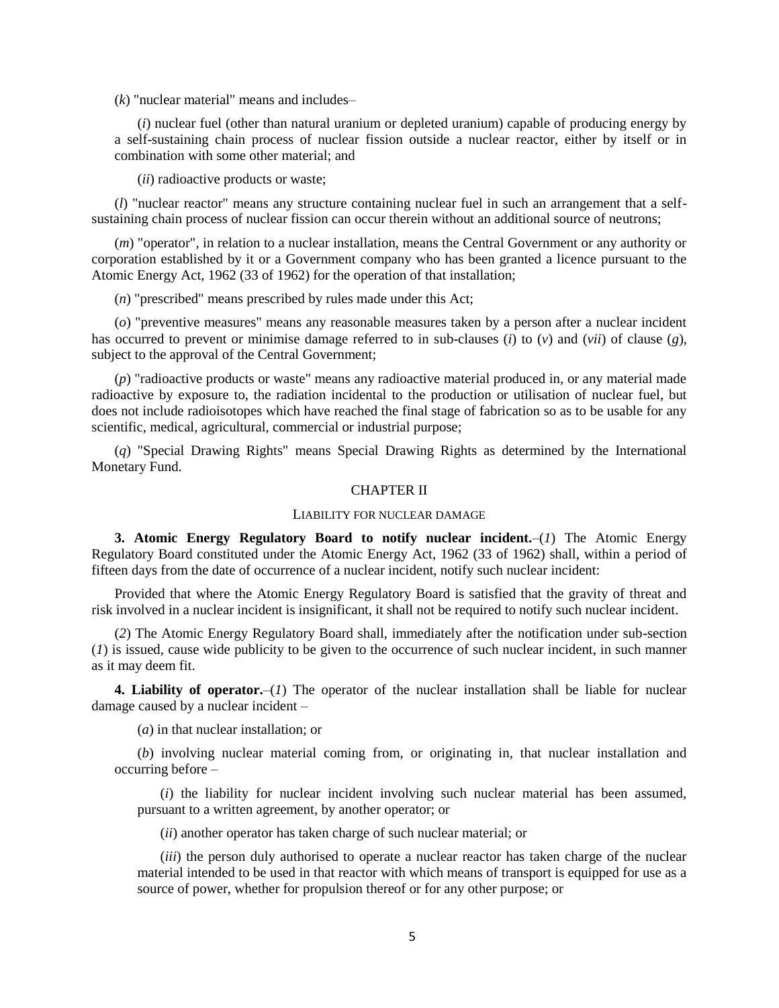(*k*) "nuclear material" means and includes–

(*i*) nuclear fuel (other than natural uranium or depleted uranium) capable of producing energy by a self-sustaining chain process of nuclear fission outside a nuclear reactor, either by itself or in combination with some other material; and

(*ii*) radioactive products or waste;

(*l*) "nuclear reactor" means any structure containing nuclear fuel in such an arrangement that a selfsustaining chain process of nuclear fission can occur therein without an additional source of neutrons;

(*m*) "operator", in relation to a nuclear installation, means the Central Government or any authority or corporation established by it or a Government company who has been granted a licence pursuant to the Atomic Energy Act, 1962 (33 of 1962) for the operation of that installation;

(*n*) "prescribed" means prescribed by rules made under this Act;

(*o*) "preventive measures" means any reasonable measures taken by a person after a nuclear incident has occurred to prevent or minimise damage referred to in sub-clauses (*i*) to (*v*) and (*vii*) of clause (*g*), subject to the approval of the Central Government;

(*p*) "radioactive products or waste" means any radioactive material produced in, or any material made radioactive by exposure to, the radiation incidental to the production or utilisation of nuclear fuel, but does not include radioisotopes which have reached the final stage of fabrication so as to be usable for any scientific, medical, agricultural, commercial or industrial purpose;

(*q*) "Special Drawing Rights" means Special Drawing Rights as determined by the International Monetary Fund.

### CHAPTER II

### LIABILITY FOR NUCLEAR DAMAGE

**3. Atomic Energy Regulatory Board to notify nuclear incident.**–(*1*) The Atomic Energy Regulatory Board constituted under the Atomic Energy Act, 1962 (33 of 1962) shall, within a period of fifteen days from the date of occurrence of a nuclear incident, notify such nuclear incident:

Provided that where the Atomic Energy Regulatory Board is satisfied that the gravity of threat and risk involved in a nuclear incident is insignificant, it shall not be required to notify such nuclear incident.

(*2*) The Atomic Energy Regulatory Board shall, immediately after the notification under sub-section (*1*) is issued, cause wide publicity to be given to the occurrence of such nuclear incident, in such manner as it may deem fit.

**4. Liability of operator.** $-(1)$  The operator of the nuclear installation shall be liable for nuclear damage caused by a nuclear incident –

(*a*) in that nuclear installation; or

(*b*) involving nuclear material coming from, or originating in, that nuclear installation and occurring before –

(*i*) the liability for nuclear incident involving such nuclear material has been assumed, pursuant to a written agreement, by another operator; or

(*ii*) another operator has taken charge of such nuclear material; or

(*iii*) the person duly authorised to operate a nuclear reactor has taken charge of the nuclear material intended to be used in that reactor with which means of transport is equipped for use as a source of power, whether for propulsion thereof or for any other purpose; or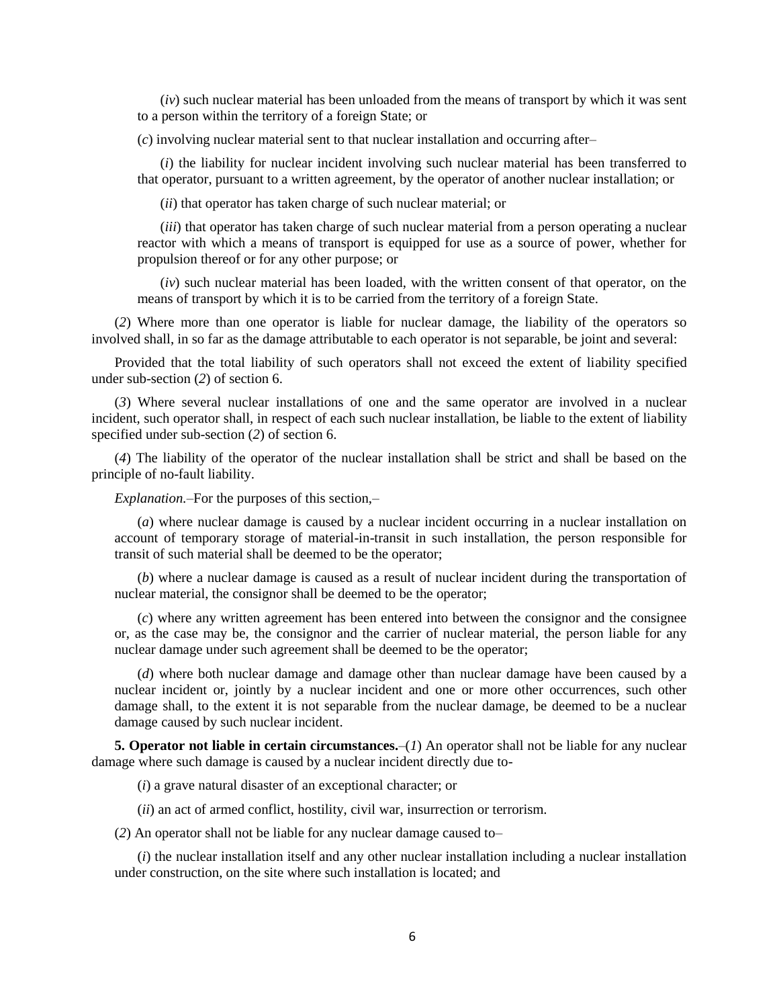(*iv*) such nuclear material has been unloaded from the means of transport by which it was sent to a person within the territory of a foreign State; or

(*c*) involving nuclear material sent to that nuclear installation and occurring after–

(*i*) the liability for nuclear incident involving such nuclear material has been transferred to that operator, pursuant to a written agreement, by the operator of another nuclear installation; or

(*ii*) that operator has taken charge of such nuclear material; or

(*iii*) that operator has taken charge of such nuclear material from a person operating a nuclear reactor with which a means of transport is equipped for use as a source of power, whether for propulsion thereof or for any other purpose; or

(*iv*) such nuclear material has been loaded, with the written consent of that operator, on the means of transport by which it is to be carried from the territory of a foreign State.

(*2*) Where more than one operator is liable for nuclear damage, the liability of the operators so involved shall, in so far as the damage attributable to each operator is not separable, be joint and several:

Provided that the total liability of such operators shall not exceed the extent of liability specified under sub-section (*2*) of section 6.

(*3*) Where several nuclear installations of one and the same operator are involved in a nuclear incident, such operator shall, in respect of each such nuclear installation, be liable to the extent of liability specified under sub-section (*2*) of section 6.

(*4*) The liability of the operator of the nuclear installation shall be strict and shall be based on the principle of no-fault liability.

*Explanation.*–For the purposes of this section,–

(*a*) where nuclear damage is caused by a nuclear incident occurring in a nuclear installation on account of temporary storage of material-in-transit in such installation, the person responsible for transit of such material shall be deemed to be the operator;

(*b*) where a nuclear damage is caused as a result of nuclear incident during the transportation of nuclear material, the consignor shall be deemed to be the operator;

(*c*) where any written agreement has been entered into between the consignor and the consignee or, as the case may be, the consignor and the carrier of nuclear material, the person liable for any nuclear damage under such agreement shall be deemed to be the operator;

(*d*) where both nuclear damage and damage other than nuclear damage have been caused by a nuclear incident or, jointly by a nuclear incident and one or more other occurrences, such other damage shall, to the extent it is not separable from the nuclear damage, be deemed to be a nuclear damage caused by such nuclear incident.

**5. Operator not liable in certain circumstances.**—(*1*) An operator shall not be liable for any nuclear damage where such damage is caused by a nuclear incident directly due to-

(*i*) a grave natural disaster of an exceptional character; or

(*ii*) an act of armed conflict, hostility, civil war, insurrection or terrorism.

(*2*) An operator shall not be liable for any nuclear damage caused to–

(*i*) the nuclear installation itself and any other nuclear installation including a nuclear installation under construction, on the site where such installation is located; and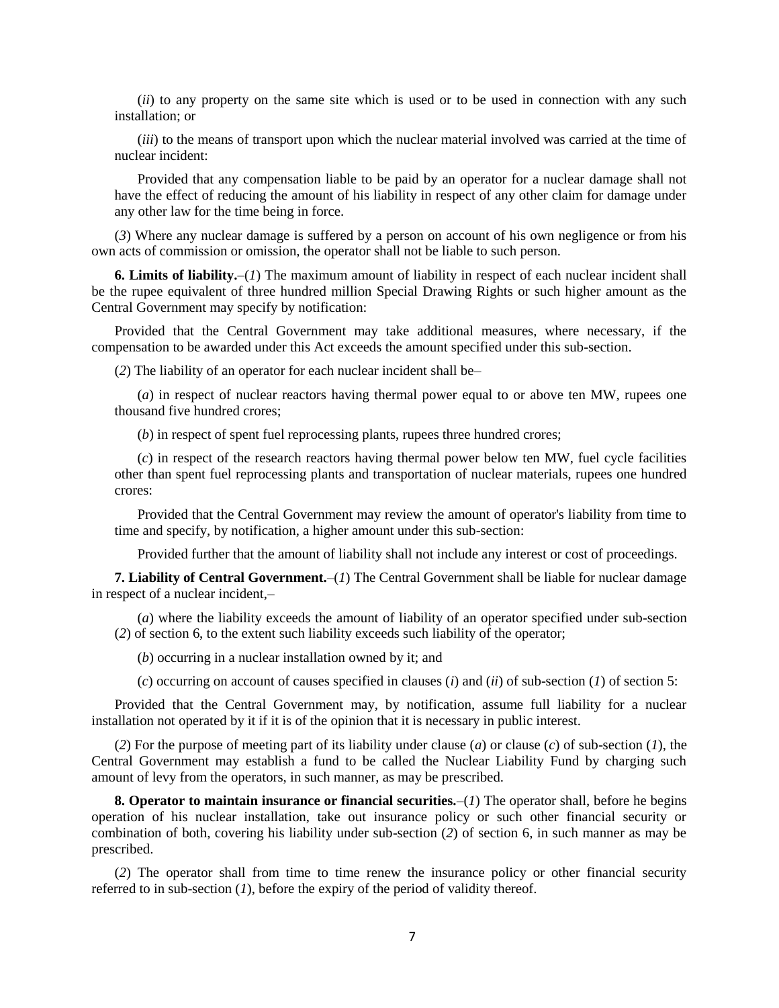(*ii*) to any property on the same site which is used or to be used in connection with any such installation; or

(*iii*) to the means of transport upon which the nuclear material involved was carried at the time of nuclear incident:

Provided that any compensation liable to be paid by an operator for a nuclear damage shall not have the effect of reducing the amount of his liability in respect of any other claim for damage under any other law for the time being in force.

(*3*) Where any nuclear damage is suffered by a person on account of his own negligence or from his own acts of commission or omission, the operator shall not be liable to such person.

**6. Limits of liability.**–(*1*) The maximum amount of liability in respect of each nuclear incident shall be the rupee equivalent of three hundred million Special Drawing Rights or such higher amount as the Central Government may specify by notification:

Provided that the Central Government may take additional measures, where necessary, if the compensation to be awarded under this Act exceeds the amount specified under this sub-section.

(*2*) The liability of an operator for each nuclear incident shall be–

(*a*) in respect of nuclear reactors having thermal power equal to or above ten MW, rupees one thousand five hundred crores;

(*b*) in respect of spent fuel reprocessing plants, rupees three hundred crores;

(*c*) in respect of the research reactors having thermal power below ten MW, fuel cycle facilities other than spent fuel reprocessing plants and transportation of nuclear materials, rupees one hundred crores:

Provided that the Central Government may review the amount of operator's liability from time to time and specify, by notification, a higher amount under this sub-section:

Provided further that the amount of liability shall not include any interest or cost of proceedings.

**7. Liability of Central Government.**–(*1*) The Central Government shall be liable for nuclear damage in respect of a nuclear incident,–

(*a*) where the liability exceeds the amount of liability of an operator specified under sub-section (*2*) of section 6, to the extent such liability exceeds such liability of the operator;

(*b*) occurring in a nuclear installation owned by it; and

(*c*) occurring on account of causes specified in clauses (*i*) and (*ii*) of sub-section (*1*) of section 5:

Provided that the Central Government may, by notification, assume full liability for a nuclear installation not operated by it if it is of the opinion that it is necessary in public interest.

(*2*) For the purpose of meeting part of its liability under clause (*a*) or clause (*c*) of sub-section (*1*), the Central Government may establish a fund to be called the Nuclear Liability Fund by charging such amount of levy from the operators, in such manner, as may be prescribed.

**8. Operator to maintain insurance or financial securities.**–(*1*) The operator shall, before he begins operation of his nuclear installation, take out insurance policy or such other financial security or combination of both, covering his liability under sub-section (*2*) of section 6, in such manner as may be prescribed.

(*2*) The operator shall from time to time renew the insurance policy or other financial security referred to in sub-section (*1*), before the expiry of the period of validity thereof.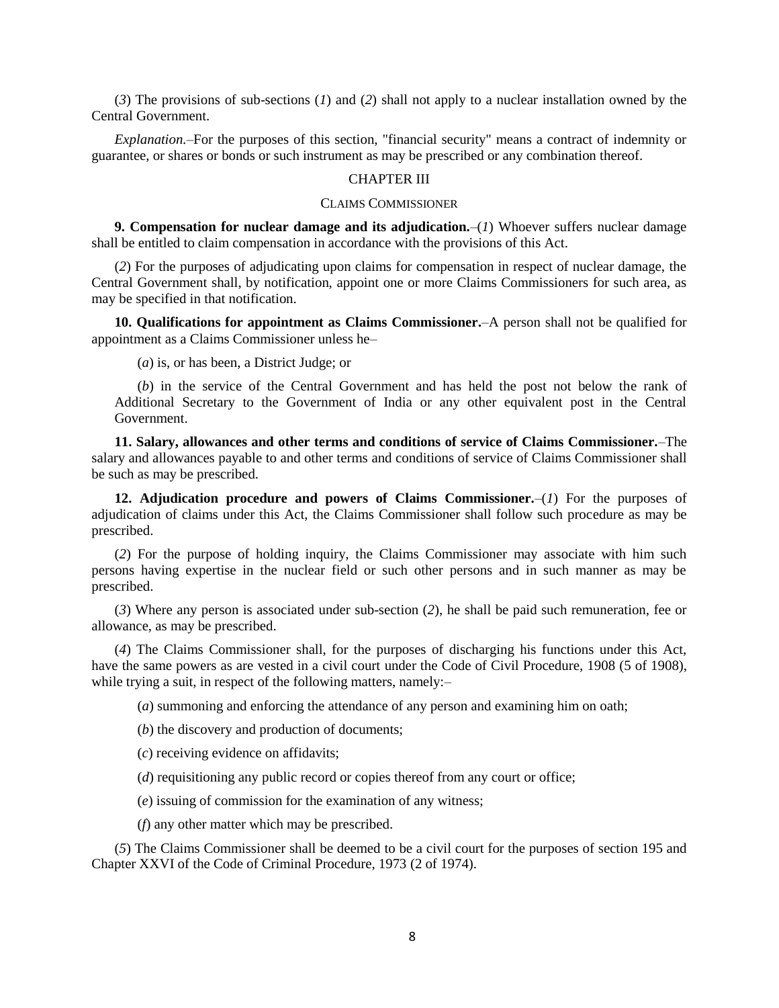(*3*) The provisions of sub-sections (*1*) and (*2*) shall not apply to a nuclear installation owned by the Central Government.

*Explanation.*–For the purposes of this section, "financial security" means a contract of indemnity or guarantee, or shares or bonds or such instrument as may be prescribed or any combination thereof.

### CHAPTER III

### CLAIMS COMMISSIONER

**9. Compensation for nuclear damage and its adjudication.**–(*1*) Whoever suffers nuclear damage shall be entitled to claim compensation in accordance with the provisions of this Act.

(*2*) For the purposes of adjudicating upon claims for compensation in respect of nuclear damage, the Central Government shall, by notification, appoint one or more Claims Commissioners for such area, as may be specified in that notification.

**10. Qualifications for appointment as Claims Commissioner.**–A person shall not be qualified for appointment as a Claims Commissioner unless he–

(*a*) is, or has been, a District Judge; or

(*b*) in the service of the Central Government and has held the post not below the rank of Additional Secretary to the Government of India or any other equivalent post in the Central Government.

**11. Salary, allowances and other terms and conditions of service of Claims Commissioner.**–The salary and allowances payable to and other terms and conditions of service of Claims Commissioner shall be such as may be prescribed.

**12. Adjudication procedure and powers of Claims Commissioner.**–(*1*) For the purposes of adjudication of claims under this Act, the Claims Commissioner shall follow such procedure as may be prescribed.

(*2*) For the purpose of holding inquiry, the Claims Commissioner may associate with him such persons having expertise in the nuclear field or such other persons and in such manner as may be prescribed.

(*3*) Where any person is associated under sub-section (*2*), he shall be paid such remuneration, fee or allowance, as may be prescribed.

(*4*) The Claims Commissioner shall, for the purposes of discharging his functions under this Act, have the same powers as are vested in a civil court under the Code of Civil Procedure, 1908 (5 of 1908), while trying a suit, in respect of the following matters, namely:-

(*a*) summoning and enforcing the attendance of any person and examining him on oath;

(*b*) the discovery and production of documents;

(*c*) receiving evidence on affidavits;

(*d*) requisitioning any public record or copies thereof from any court or office;

(*e*) issuing of commission for the examination of any witness;

(*f*) any other matter which may be prescribed.

(*5*) The Claims Commissioner shall be deemed to be a civil court for the purposes of section 195 and Chapter XXVI of the Code of Criminal Procedure, 1973 (2 of 1974).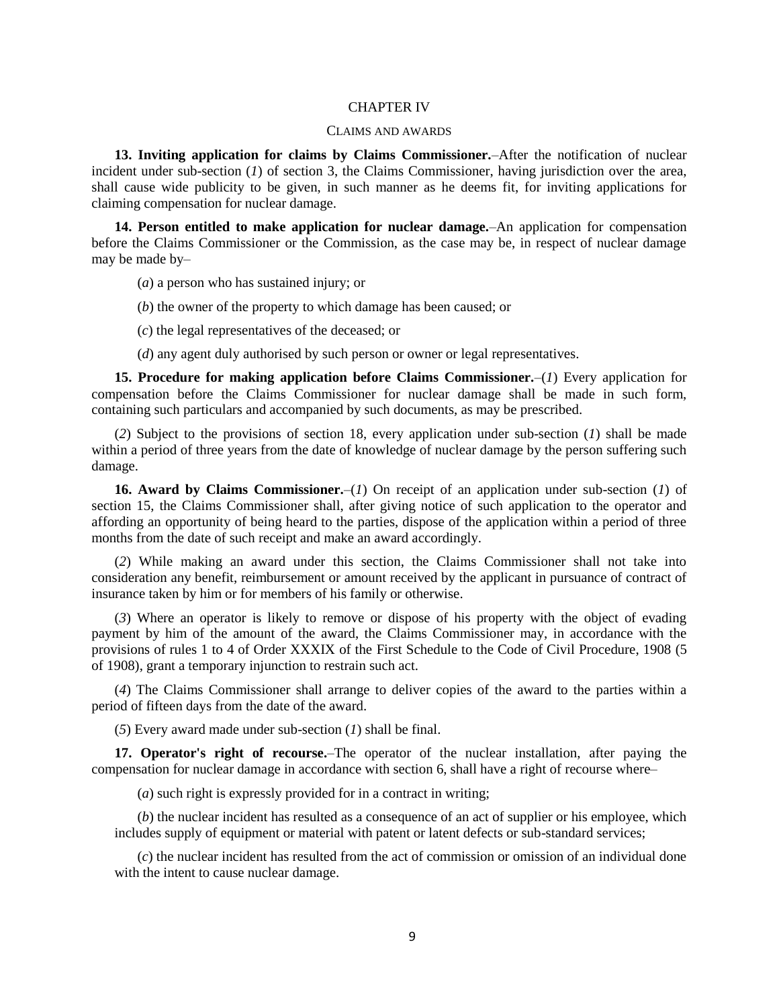### CHAPTER IV

#### CLAIMS AND AWARDS

**13. Inviting application for claims by Claims Commissioner.**–After the notification of nuclear incident under sub-section (*1*) of section 3, the Claims Commissioner, having jurisdiction over the area, shall cause wide publicity to be given, in such manner as he deems fit, for inviting applications for claiming compensation for nuclear damage.

**14. Person entitled to make application for nuclear damage.**–An application for compensation before the Claims Commissioner or the Commission, as the case may be, in respect of nuclear damage may be made by–

(*a*) a person who has sustained injury; or

(*b*) the owner of the property to which damage has been caused; or

(*c*) the legal representatives of the deceased; or

(*d*) any agent duly authorised by such person or owner or legal representatives.

**15. Procedure for making application before Claims Commissioner.**–(*1*) Every application for compensation before the Claims Commissioner for nuclear damage shall be made in such form, containing such particulars and accompanied by such documents, as may be prescribed.

(*2*) Subject to the provisions of section 18, every application under sub-section (*1*) shall be made within a period of three years from the date of knowledge of nuclear damage by the person suffering such damage.

**16. Award by Claims Commissioner.**–(*1*) On receipt of an application under sub-section (*1*) of section 15, the Claims Commissioner shall, after giving notice of such application to the operator and affording an opportunity of being heard to the parties, dispose of the application within a period of three months from the date of such receipt and make an award accordingly.

(*2*) While making an award under this section, the Claims Commissioner shall not take into consideration any benefit, reimbursement or amount received by the applicant in pursuance of contract of insurance taken by him or for members of his family or otherwise.

(*3*) Where an operator is likely to remove or dispose of his property with the object of evading payment by him of the amount of the award, the Claims Commissioner may, in accordance with the provisions of rules 1 to 4 of Order XXXIX of the First Schedule to the Code of Civil Procedure, 1908 (5 of 1908), grant a temporary injunction to restrain such act.

(*4*) The Claims Commissioner shall arrange to deliver copies of the award to the parties within a period of fifteen days from the date of the award.

(*5*) Every award made under sub-section (*1*) shall be final.

**17. Operator's right of recourse.**–The operator of the nuclear installation, after paying the compensation for nuclear damage in accordance with section 6, shall have a right of recourse where–

(*a*) such right is expressly provided for in a contract in writing;

(*b*) the nuclear incident has resulted as a consequence of an act of supplier or his employee, which includes supply of equipment or material with patent or latent defects or sub-standard services;

(*c*) the nuclear incident has resulted from the act of commission or omission of an individual done with the intent to cause nuclear damage.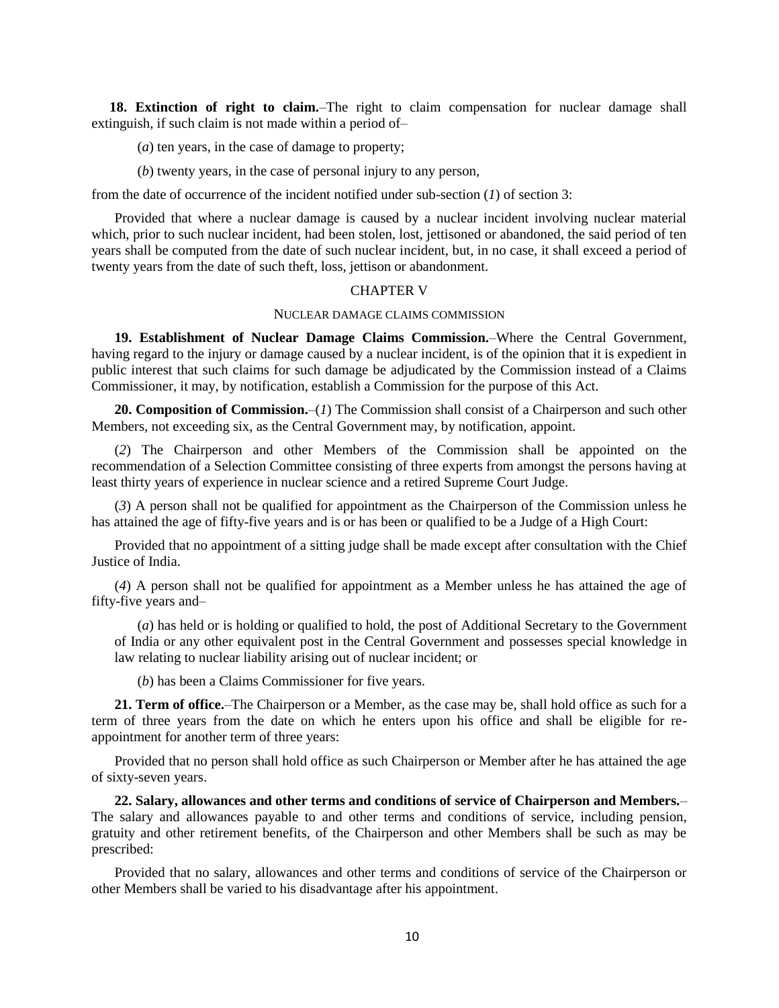**18. Extinction of right to claim.**–The right to claim compensation for nuclear damage shall extinguish, if such claim is not made within a period of–

(*a*) ten years, in the case of damage to property;

(*b*) twenty years, in the case of personal injury to any person,

from the date of occurrence of the incident notified under sub-section (*1*) of section 3:

Provided that where a nuclear damage is caused by a nuclear incident involving nuclear material which, prior to such nuclear incident, had been stolen, lost, jettisoned or abandoned, the said period of ten years shall be computed from the date of such nuclear incident, but, in no case, it shall exceed a period of twenty years from the date of such theft, loss, jettison or abandonment.

### CHAPTER V

# NUCLEAR DAMAGE CLAIMS COMMISSION

**19. Establishment of Nuclear Damage Claims Commission.**–Where the Central Government, having regard to the injury or damage caused by a nuclear incident, is of the opinion that it is expedient in public interest that such claims for such damage be adjudicated by the Commission instead of a Claims Commissioner, it may, by notification, establish a Commission for the purpose of this Act.

**20. Composition of Commission.**–(*1*) The Commission shall consist of a Chairperson and such other Members, not exceeding six, as the Central Government may, by notification, appoint.

(*2*) The Chairperson and other Members of the Commission shall be appointed on the recommendation of a Selection Committee consisting of three experts from amongst the persons having at least thirty years of experience in nuclear science and a retired Supreme Court Judge.

(*3*) A person shall not be qualified for appointment as the Chairperson of the Commission unless he has attained the age of fifty-five years and is or has been or qualified to be a Judge of a High Court:

Provided that no appointment of a sitting judge shall be made except after consultation with the Chief Justice of India.

(*4*) A person shall not be qualified for appointment as a Member unless he has attained the age of fifty-five years and–

(*a*) has held or is holding or qualified to hold, the post of Additional Secretary to the Government of India or any other equivalent post in the Central Government and possesses special knowledge in law relating to nuclear liability arising out of nuclear incident; or

(*b*) has been a Claims Commissioner for five years.

**21. Term of office.**–The Chairperson or a Member, as the case may be, shall hold office as such for a term of three years from the date on which he enters upon his office and shall be eligible for reappointment for another term of three years:

Provided that no person shall hold office as such Chairperson or Member after he has attained the age of sixty-seven years.

**22. Salary, allowances and other terms and conditions of service of Chairperson and Members.**– The salary and allowances payable to and other terms and conditions of service, including pension, gratuity and other retirement benefits, of the Chairperson and other Members shall be such as may be prescribed:

Provided that no salary, allowances and other terms and conditions of service of the Chairperson or other Members shall be varied to his disadvantage after his appointment.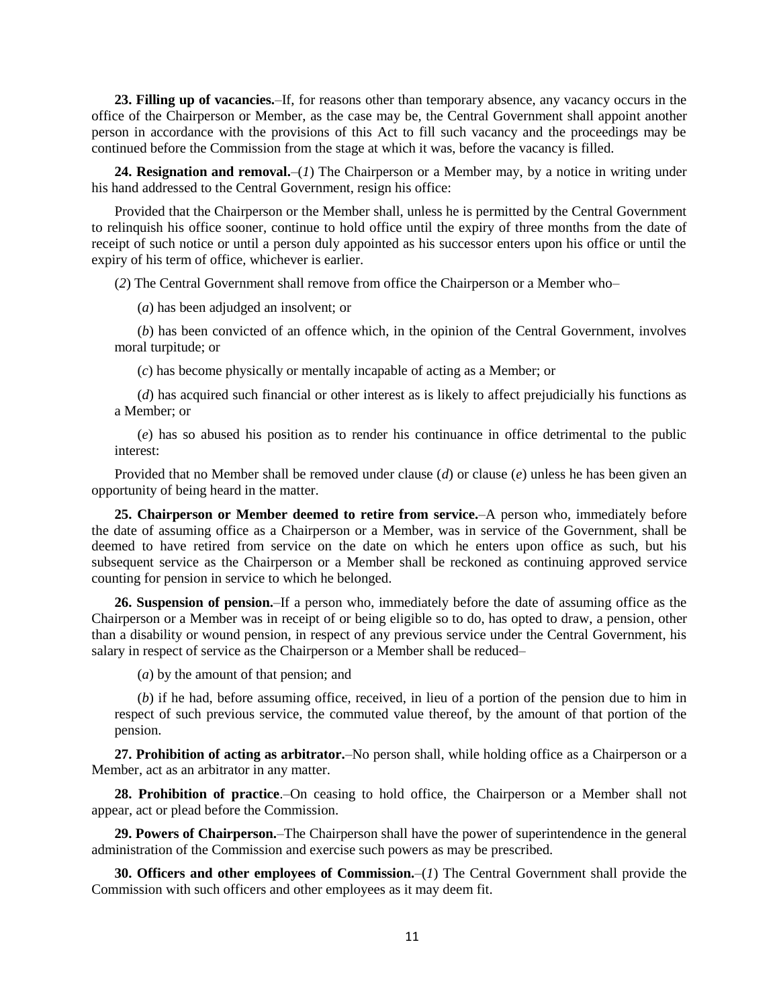**23. Filling up of vacancies.**–If, for reasons other than temporary absence, any vacancy occurs in the office of the Chairperson or Member, as the case may be, the Central Government shall appoint another person in accordance with the provisions of this Act to fill such vacancy and the proceedings may be continued before the Commission from the stage at which it was, before the vacancy is filled.

**24. Resignation and removal.**–(*1*) The Chairperson or a Member may, by a notice in writing under his hand addressed to the Central Government, resign his office:

Provided that the Chairperson or the Member shall, unless he is permitted by the Central Government to relinquish his office sooner, continue to hold office until the expiry of three months from the date of receipt of such notice or until a person duly appointed as his successor enters upon his office or until the expiry of his term of office, whichever is earlier.

(*2*) The Central Government shall remove from office the Chairperson or a Member who–

(*a*) has been adjudged an insolvent; or

(*b*) has been convicted of an offence which, in the opinion of the Central Government, involves moral turpitude; or

(*c*) has become physically or mentally incapable of acting as a Member; or

(*d*) has acquired such financial or other interest as is likely to affect prejudicially his functions as a Member; or

(*e*) has so abused his position as to render his continuance in office detrimental to the public interest:

Provided that no Member shall be removed under clause (*d*) or clause (*e*) unless he has been given an opportunity of being heard in the matter.

**25. Chairperson or Member deemed to retire from service.**–A person who, immediately before the date of assuming office as a Chairperson or a Member, was in service of the Government, shall be deemed to have retired from service on the date on which he enters upon office as such, but his subsequent service as the Chairperson or a Member shall be reckoned as continuing approved service counting for pension in service to which he belonged.

**26. Suspension of pension.**–If a person who, immediately before the date of assuming office as the Chairperson or a Member was in receipt of or being eligible so to do, has opted to draw, a pension, other than a disability or wound pension, in respect of any previous service under the Central Government, his salary in respect of service as the Chairperson or a Member shall be reduced–

(*a*) by the amount of that pension; and

(*b*) if he had, before assuming office, received, in lieu of a portion of the pension due to him in respect of such previous service, the commuted value thereof, by the amount of that portion of the pension.

**27. Prohibition of acting as arbitrator.**–No person shall, while holding office as a Chairperson or a Member, act as an arbitrator in any matter.

**28. Prohibition of practice**.–On ceasing to hold office, the Chairperson or a Member shall not appear, act or plead before the Commission.

**29. Powers of Chairperson.**–The Chairperson shall have the power of superintendence in the general administration of the Commission and exercise such powers as may be prescribed.

**30. Officers and other employees of Commission.**–(*1*) The Central Government shall provide the Commission with such officers and other employees as it may deem fit.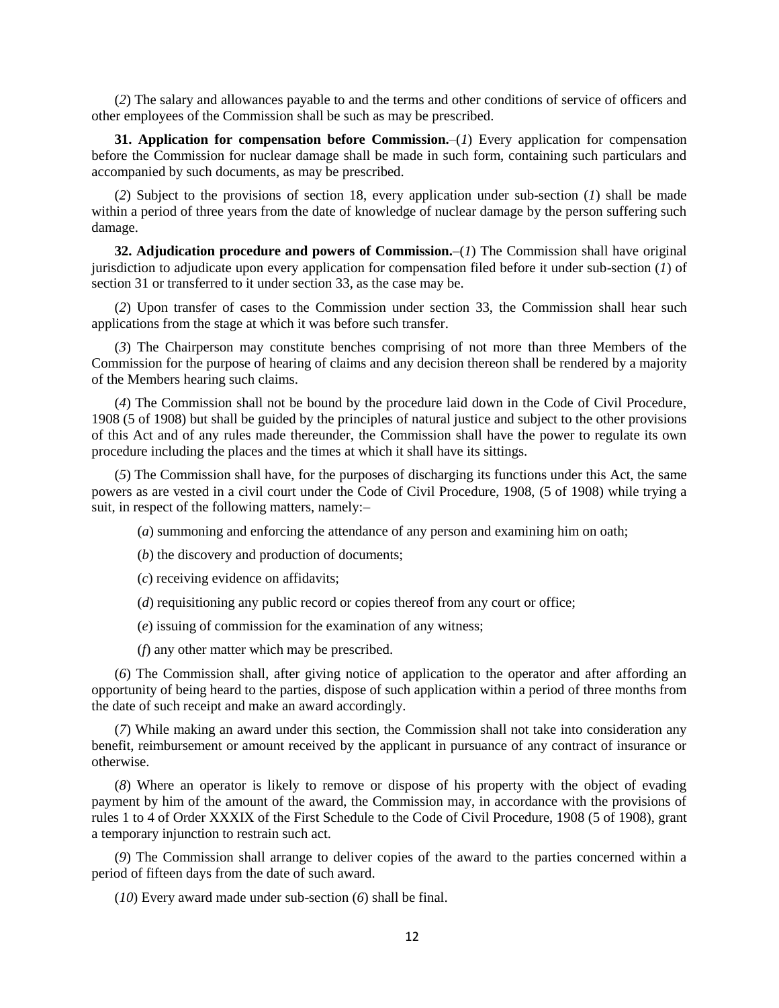(*2*) The salary and allowances payable to and the terms and other conditions of service of officers and other employees of the Commission shall be such as may be prescribed.

**31. Application for compensation before Commission.**–(*1*) Every application for compensation before the Commission for nuclear damage shall be made in such form, containing such particulars and accompanied by such documents, as may be prescribed.

(*2*) Subject to the provisions of section 18, every application under sub-section (*1*) shall be made within a period of three years from the date of knowledge of nuclear damage by the person suffering such damage.

**32. Adjudication procedure and powers of Commission.**–(*1*) The Commission shall have original jurisdiction to adjudicate upon every application for compensation filed before it under sub-section (*1*) of section 31 or transferred to it under section 33, as the case may be.

(*2*) Upon transfer of cases to the Commission under section 33, the Commission shall hear such applications from the stage at which it was before such transfer.

(*3*) The Chairperson may constitute benches comprising of not more than three Members of the Commission for the purpose of hearing of claims and any decision thereon shall be rendered by a majority of the Members hearing such claims.

(*4*) The Commission shall not be bound by the procedure laid down in the Code of Civil Procedure, 1908 (5 of 1908) but shall be guided by the principles of natural justice and subject to the other provisions of this Act and of any rules made thereunder, the Commission shall have the power to regulate its own procedure including the places and the times at which it shall have its sittings.

(*5*) The Commission shall have, for the purposes of discharging its functions under this Act, the same powers as are vested in a civil court under the Code of Civil Procedure, 1908, (5 of 1908) while trying a suit, in respect of the following matters, namely:–

(*a*) summoning and enforcing the attendance of any person and examining him on oath;

(*b*) the discovery and production of documents;

(*c*) receiving evidence on affidavits;

(*d*) requisitioning any public record or copies thereof from any court or office;

(*e*) issuing of commission for the examination of any witness;

(*f*) any other matter which may be prescribed.

(*6*) The Commission shall, after giving notice of application to the operator and after affording an opportunity of being heard to the parties, dispose of such application within a period of three months from the date of such receipt and make an award accordingly.

(*7*) While making an award under this section, the Commission shall not take into consideration any benefit, reimbursement or amount received by the applicant in pursuance of any contract of insurance or otherwise.

(*8*) Where an operator is likely to remove or dispose of his property with the object of evading payment by him of the amount of the award, the Commission may, in accordance with the provisions of rules 1 to 4 of Order XXXIX of the First Schedule to the Code of Civil Procedure, 1908 (5 of 1908), grant a temporary injunction to restrain such act.

(*9*) The Commission shall arrange to deliver copies of the award to the parties concerned within a period of fifteen days from the date of such award.

(*10*) Every award made under sub-section (*6*) shall be final.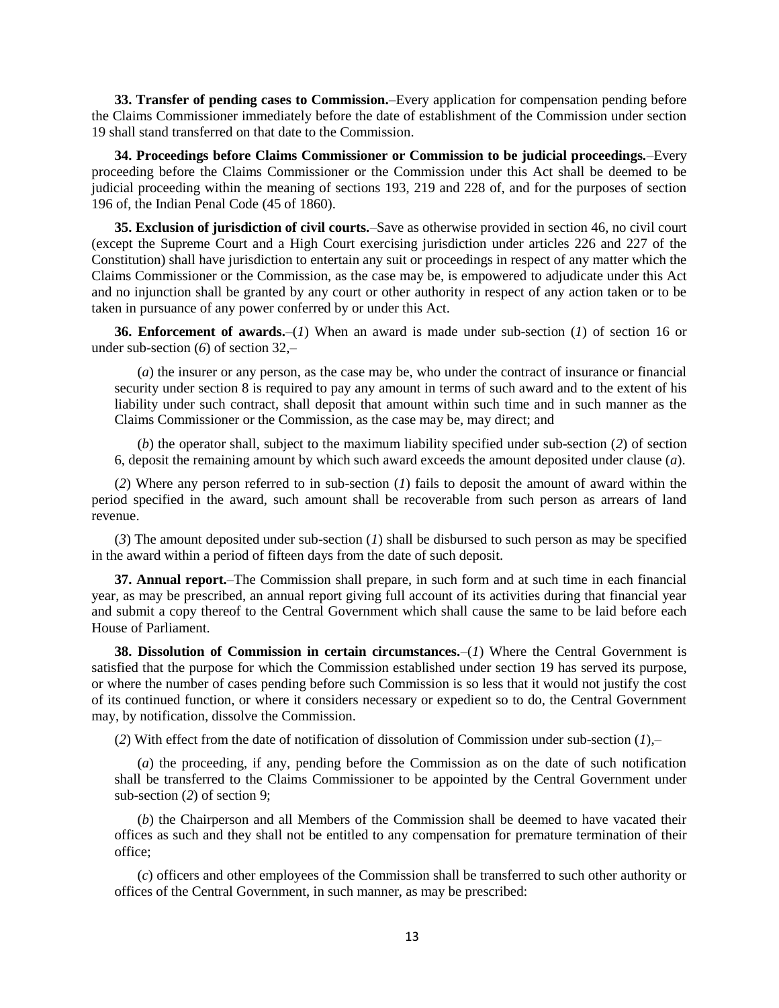**33. Transfer of pending cases to Commission.**–Every application for compensation pending before the Claims Commissioner immediately before the date of establishment of the Commission under section 19 shall stand transferred on that date to the Commission.

**34. Proceedings before Claims Commissioner or Commission to be judicial proceedings.**–Every proceeding before the Claims Commissioner or the Commission under this Act shall be deemed to be judicial proceeding within the meaning of sections 193, 219 and 228 of, and for the purposes of section 196 of, the Indian Penal Code (45 of 1860).

**35. Exclusion of jurisdiction of civil courts.**–Save as otherwise provided in section 46, no civil court (except the Supreme Court and a High Court exercising jurisdiction under articles 226 and 227 of the Constitution) shall have jurisdiction to entertain any suit or proceedings in respect of any matter which the Claims Commissioner or the Commission, as the case may be, is empowered to adjudicate under this Act and no injunction shall be granted by any court or other authority in respect of any action taken or to be taken in pursuance of any power conferred by or under this Act.

**36. Enforcement of awards.**–(*1*) When an award is made under sub-section (*1*) of section 16 or under sub-section (*6*) of section 32,–

(*a*) the insurer or any person, as the case may be, who under the contract of insurance or financial security under section 8 is required to pay any amount in terms of such award and to the extent of his liability under such contract, shall deposit that amount within such time and in such manner as the Claims Commissioner or the Commission, as the case may be, may direct; and

(*b*) the operator shall, subject to the maximum liability specified under sub-section (*2*) of section 6, deposit the remaining amount by which such award exceeds the amount deposited under clause (*a*).

(*2*) Where any person referred to in sub-section (*1*) fails to deposit the amount of award within the period specified in the award, such amount shall be recoverable from such person as arrears of land revenue.

(*3*) The amount deposited under sub-section (*1*) shall be disbursed to such person as may be specified in the award within a period of fifteen days from the date of such deposit.

**37. Annual report.**–The Commission shall prepare, in such form and at such time in each financial year, as may be prescribed, an annual report giving full account of its activities during that financial year and submit a copy thereof to the Central Government which shall cause the same to be laid before each House of Parliament.

**38. Dissolution of Commission in certain circumstances.**–(*1*) Where the Central Government is satisfied that the purpose for which the Commission established under section 19 has served its purpose, or where the number of cases pending before such Commission is so less that it would not justify the cost of its continued function, or where it considers necessary or expedient so to do, the Central Government may, by notification, dissolve the Commission.

(*2*) With effect from the date of notification of dissolution of Commission under sub-section (*1*),–

(*a*) the proceeding, if any, pending before the Commission as on the date of such notification shall be transferred to the Claims Commissioner to be appointed by the Central Government under sub-section (*2*) of section 9;

(*b*) the Chairperson and all Members of the Commission shall be deemed to have vacated their offices as such and they shall not be entitled to any compensation for premature termination of their office;

(*c*) officers and other employees of the Commission shall be transferred to such other authority or offices of the Central Government, in such manner, as may be prescribed: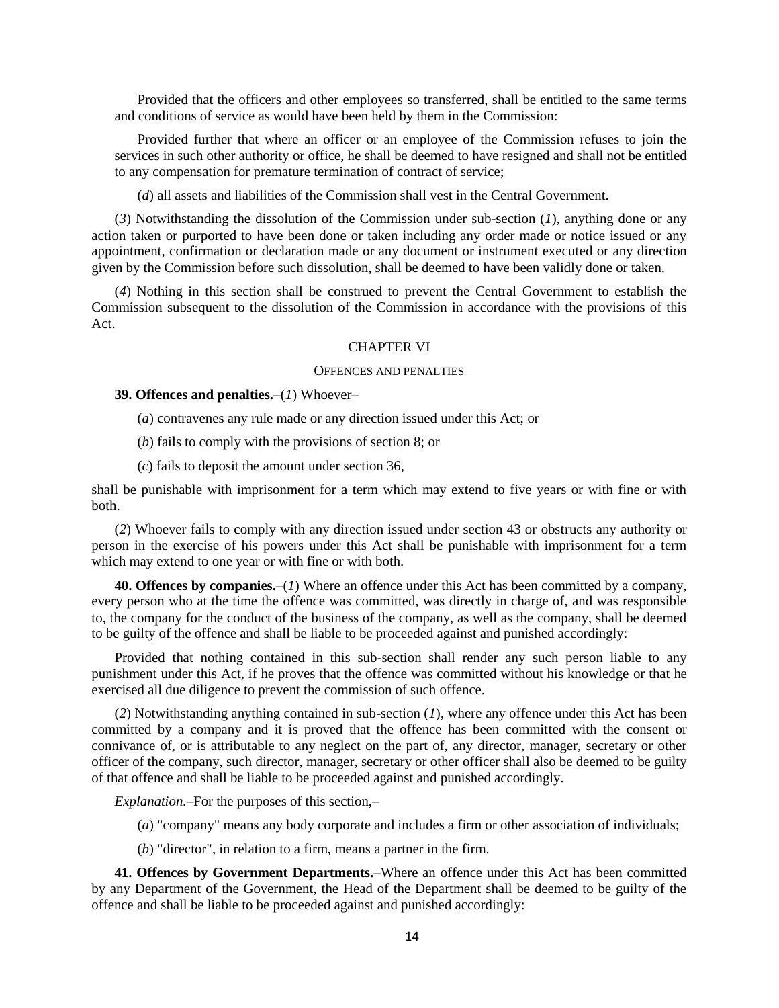Provided that the officers and other employees so transferred, shall be entitled to the same terms and conditions of service as would have been held by them in the Commission:

Provided further that where an officer or an employee of the Commission refuses to join the services in such other authority or office, he shall be deemed to have resigned and shall not be entitled to any compensation for premature termination of contract of service;

(*d*) all assets and liabilities of the Commission shall vest in the Central Government.

(*3*) Notwithstanding the dissolution of the Commission under sub-section (*1*), anything done or any action taken or purported to have been done or taken including any order made or notice issued or any appointment, confirmation or declaration made or any document or instrument executed or any direction given by the Commission before such dissolution, shall be deemed to have been validly done or taken.

(*4*) Nothing in this section shall be construed to prevent the Central Government to establish the Commission subsequent to the dissolution of the Commission in accordance with the provisions of this Act.

### CHAPTER VI

### OFFENCES AND PENALTIES

### **39. Offences and penalties.**–(*1*) Whoever–

(*a*) contravenes any rule made or any direction issued under this Act; or

(*b*) fails to comply with the provisions of section 8; or

(*c*) fails to deposit the amount under section 36,

shall be punishable with imprisonment for a term which may extend to five years or with fine or with both.

(*2*) Whoever fails to comply with any direction issued under section 43 or obstructs any authority or person in the exercise of his powers under this Act shall be punishable with imprisonment for a term which may extend to one year or with fine or with both.

**40. Offences by companies.**–(*1*) Where an offence under this Act has been committed by a company, every person who at the time the offence was committed, was directly in charge of, and was responsible to, the company for the conduct of the business of the company, as well as the company, shall be deemed to be guilty of the offence and shall be liable to be proceeded against and punished accordingly:

Provided that nothing contained in this sub-section shall render any such person liable to any punishment under this Act, if he proves that the offence was committed without his knowledge or that he exercised all due diligence to prevent the commission of such offence.

(*2*) Notwithstanding anything contained in sub-section (*1*), where any offence under this Act has been committed by a company and it is proved that the offence has been committed with the consent or connivance of, or is attributable to any neglect on the part of, any director, manager, secretary or other officer of the company, such director, manager, secretary or other officer shall also be deemed to be guilty of that offence and shall be liable to be proceeded against and punished accordingly.

*Explanation.*–For the purposes of this section,–

- (*a*) "company" means any body corporate and includes a firm or other association of individuals;
- (*b*) "director", in relation to a firm, means a partner in the firm.

**41. Offences by Government Departments.**–Where an offence under this Act has been committed by any Department of the Government, the Head of the Department shall be deemed to be guilty of the offence and shall be liable to be proceeded against and punished accordingly: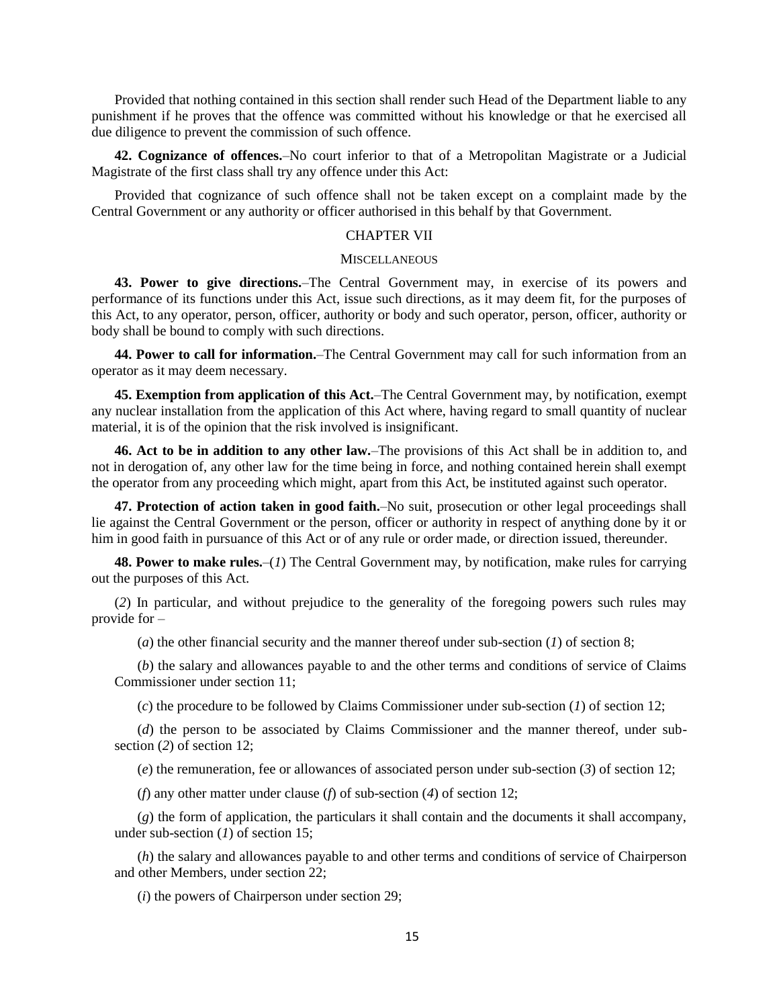Provided that nothing contained in this section shall render such Head of the Department liable to any punishment if he proves that the offence was committed without his knowledge or that he exercised all due diligence to prevent the commission of such offence.

**42. Cognizance of offences.**–No court inferior to that of a Metropolitan Magistrate or a Judicial Magistrate of the first class shall try any offence under this Act:

Provided that cognizance of such offence shall not be taken except on a complaint made by the Central Government or any authority or officer authorised in this behalf by that Government.

# CHAPTER VII

### **MISCELLANEOUS**

**43. Power to give directions.**–The Central Government may, in exercise of its powers and performance of its functions under this Act, issue such directions, as it may deem fit, for the purposes of this Act, to any operator, person, officer, authority or body and such operator, person, officer, authority or body shall be bound to comply with such directions.

**44. Power to call for information.**–The Central Government may call for such information from an operator as it may deem necessary.

**45. Exemption from application of this Act.**–The Central Government may, by notification, exempt any nuclear installation from the application of this Act where, having regard to small quantity of nuclear material, it is of the opinion that the risk involved is insignificant.

**46. Act to be in addition to any other law.**–The provisions of this Act shall be in addition to, and not in derogation of, any other law for the time being in force, and nothing contained herein shall exempt the operator from any proceeding which might, apart from this Act, be instituted against such operator.

**47. Protection of action taken in good faith.**–No suit, prosecution or other legal proceedings shall lie against the Central Government or the person, officer or authority in respect of anything done by it or him in good faith in pursuance of this Act or of any rule or order made, or direction issued, thereunder.

**48. Power to make rules.**–(*1*) The Central Government may, by notification, make rules for carrying out the purposes of this Act.

(*2*) In particular, and without prejudice to the generality of the foregoing powers such rules may provide for –

(*a*) the other financial security and the manner thereof under sub-section (*1*) of section 8;

(*b*) the salary and allowances payable to and the other terms and conditions of service of Claims Commissioner under section 11;

(*c*) the procedure to be followed by Claims Commissioner under sub-section (*1*) of section 12;

(*d*) the person to be associated by Claims Commissioner and the manner thereof, under subsection (*2*) of section 12;

(*e*) the remuneration, fee or allowances of associated person under sub-section (*3*) of section 12;

(*f*) any other matter under clause (*f*) of sub-section (*4*) of section 12;

(*g*) the form of application, the particulars it shall contain and the documents it shall accompany, under sub-section (*1*) of section 15;

(*h*) the salary and allowances payable to and other terms and conditions of service of Chairperson and other Members, under section 22;

(*i*) the powers of Chairperson under section 29;